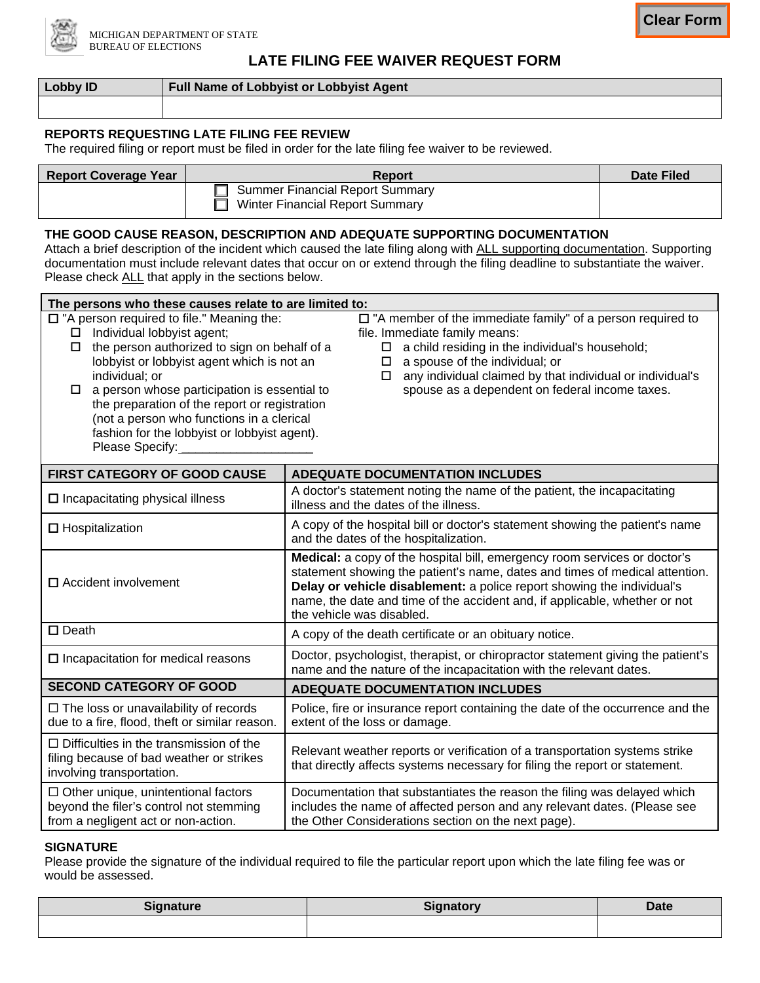

## **LATE FILING FEE WAIVER REQUEST FORM**

**Clear Form**

| Lobby ID | <b>Full Name of Lobbyist or Lobbyist Agent</b> |  |
|----------|------------------------------------------------|--|
|          |                                                |  |

### **REPORTS REQUESTING LATE FILING FEE REVIEW**

The required filing or report must be filed in order for the late filing fee waiver to be reviewed.

| <b>Report Coverage Year</b> | Report                                                               | <b>Date Filed</b> |
|-----------------------------|----------------------------------------------------------------------|-------------------|
|                             | □ Summer Financial Report Summary<br>Winter Financial Report Summary |                   |

### **THE GOOD CAUSE REASON, DESCRIPTION AND ADEQUATE SUPPORTING DOCUMENTATION**

Attach a brief description of the incident which caused the late filing along with ALL supporting documentation. Supporting documentation must include relevant dates that occur on or extend through the filing deadline to substantiate the waiver. Please check ALL that apply in the sections below.

| The persons who these causes relate to are limited to:                                                                                                                                                                                                                                                                                                                                                                                                                                                                                                                                                                                                                                                                                                            |                                                                                                                                                                                                                                                                                                                                               |  |  |  |  |
|-------------------------------------------------------------------------------------------------------------------------------------------------------------------------------------------------------------------------------------------------------------------------------------------------------------------------------------------------------------------------------------------------------------------------------------------------------------------------------------------------------------------------------------------------------------------------------------------------------------------------------------------------------------------------------------------------------------------------------------------------------------------|-----------------------------------------------------------------------------------------------------------------------------------------------------------------------------------------------------------------------------------------------------------------------------------------------------------------------------------------------|--|--|--|--|
| $\Box$ "A person required to file." Meaning the:<br>$\square$ "A member of the immediate family" of a person required to<br>Individual lobbyist agent;<br>file. Immediate family means:<br>the person authorized to sign on behalf of a<br>a child residing in the individual's household;<br>$\Box$<br>□<br>lobbyist or lobbyist agent which is not an<br>a spouse of the individual; or<br>$\Box$<br>any individual claimed by that individual or individual's<br>individual; or<br>□<br>spouse as a dependent on federal income taxes.<br>a person whose participation is essential to<br>□<br>the preparation of the report or registration<br>(not a person who functions in a clerical<br>fashion for the lobbyist or lobbyist agent).<br>Please Specify: _ |                                                                                                                                                                                                                                                                                                                                               |  |  |  |  |
| FIRST CATEGORY OF GOOD CAUSE                                                                                                                                                                                                                                                                                                                                                                                                                                                                                                                                                                                                                                                                                                                                      | <b>ADEQUATE DOCUMENTATION INCLUDES</b>                                                                                                                                                                                                                                                                                                        |  |  |  |  |
| $\square$ Incapacitating physical illness                                                                                                                                                                                                                                                                                                                                                                                                                                                                                                                                                                                                                                                                                                                         | A doctor's statement noting the name of the patient, the incapacitating<br>illness and the dates of the illness.                                                                                                                                                                                                                              |  |  |  |  |
| $\Box$ Hospitalization                                                                                                                                                                                                                                                                                                                                                                                                                                                                                                                                                                                                                                                                                                                                            | A copy of the hospital bill or doctor's statement showing the patient's name<br>and the dates of the hospitalization.                                                                                                                                                                                                                         |  |  |  |  |
| $\Box$ Accident involvement                                                                                                                                                                                                                                                                                                                                                                                                                                                                                                                                                                                                                                                                                                                                       | Medical: a copy of the hospital bill, emergency room services or doctor's<br>statement showing the patient's name, dates and times of medical attention.<br>Delay or vehicle disablement: a police report showing the individual's<br>name, the date and time of the accident and, if applicable, whether or not<br>the vehicle was disabled. |  |  |  |  |
| $\square$ Death                                                                                                                                                                                                                                                                                                                                                                                                                                                                                                                                                                                                                                                                                                                                                   | A copy of the death certificate or an obituary notice.                                                                                                                                                                                                                                                                                        |  |  |  |  |
| $\square$ Incapacitation for medical reasons                                                                                                                                                                                                                                                                                                                                                                                                                                                                                                                                                                                                                                                                                                                      | Doctor, psychologist, therapist, or chiropractor statement giving the patient's<br>name and the nature of the incapacitation with the relevant dates.                                                                                                                                                                                         |  |  |  |  |
| <b>SECOND CATEGORY OF GOOD</b>                                                                                                                                                                                                                                                                                                                                                                                                                                                                                                                                                                                                                                                                                                                                    | <b>ADEQUATE DOCUMENTATION INCLUDES</b>                                                                                                                                                                                                                                                                                                        |  |  |  |  |
| $\Box$ The loss or unavailability of records<br>due to a fire, flood, theft or similar reason.                                                                                                                                                                                                                                                                                                                                                                                                                                                                                                                                                                                                                                                                    | Police, fire or insurance report containing the date of the occurrence and the<br>extent of the loss or damage.                                                                                                                                                                                                                               |  |  |  |  |
| $\Box$ Difficulties in the transmission of the<br>filing because of bad weather or strikes<br>involving transportation.                                                                                                                                                                                                                                                                                                                                                                                                                                                                                                                                                                                                                                           | Relevant weather reports or verification of a transportation systems strike<br>that directly affects systems necessary for filing the report or statement.                                                                                                                                                                                    |  |  |  |  |
| $\Box$ Other unique, unintentional factors<br>beyond the filer's control not stemming<br>from a negligent act or non-action.                                                                                                                                                                                                                                                                                                                                                                                                                                                                                                                                                                                                                                      | Documentation that substantiates the reason the filing was delayed which<br>includes the name of affected person and any relevant dates. (Please see<br>the Other Considerations section on the next page).                                                                                                                                   |  |  |  |  |

### **SIGNATURE**

Please provide the signature of the individual required to file the particular report upon which the late filing fee was or would be assessed.

| <b>Signature</b> | Signatory<br><b>Uly</b> TialUl | <b>Date</b> |
|------------------|--------------------------------|-------------|
|                  |                                |             |